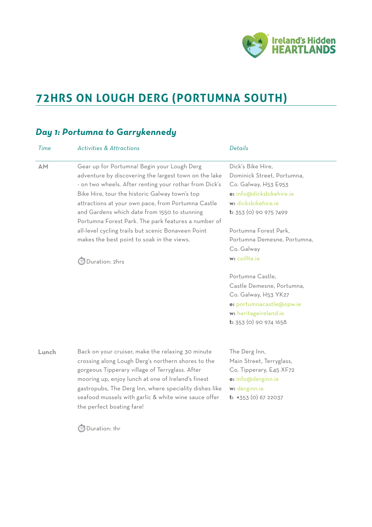

# **72HRS ON LOUGH DERG (PORTUMNA SOUTH)**

## *Day 1: Portumna to Garrykennedy*

| Time      | <b>Activities &amp; Attractions</b>                                                                                                                                                                                                                                                                                                                                                                                                                                               | Details                                                                                                                                                                                                                           |
|-----------|-----------------------------------------------------------------------------------------------------------------------------------------------------------------------------------------------------------------------------------------------------------------------------------------------------------------------------------------------------------------------------------------------------------------------------------------------------------------------------------|-----------------------------------------------------------------------------------------------------------------------------------------------------------------------------------------------------------------------------------|
| <b>AM</b> | Gear up for Portumna! Begin your Lough Derg<br>adventure by discovering the largest town on the lake<br>- on two wheels. After renting your rothar from Dick's<br>Bike Hire, tour the historic Galway town's top<br>attractions at your own pace, from Portumna Castle<br>and Gardens which date from 1550 to stunning<br>Portumna Forest Park. The park features a number of<br>all-level cycling trails but scenic Bonaveen Point<br>makes the best point to soak in the views. | Dick's Bike Hire,<br>Dominick Street, Portumna,<br>Co. Galway, H53 E953<br>e: info@dicksbikehire.ie<br>w: dicksbikehire.ie<br><b>t:</b> 353 (0) 90 975 7499<br>Portumna Forest Park,<br>Portumna Demesne, Portumna,<br>Co. Galway |
|           | Duration: 2hrs                                                                                                                                                                                                                                                                                                                                                                                                                                                                    | w: coillte.ie<br>Portumna Castle,<br>Castle Demesne, Portumna,<br>Co. Galway, H53 YK27<br>e: portumnacastle@opw.ie<br>w: heritageireland.ie<br>t: 353 (0) 90 974 1658                                                             |
| Lunch     | Back on your cruiser, make the relaxing 30 minute<br>crossing along Lough Derg's northern shores to the<br>gorgeous Tipperary village of Terryglass. After<br>mooring up, enjoy lunch at one of Ireland's finest<br>gastropubs, The Derg Inn, where speciality dishes like<br>seafood mussels with garlic & white wine sauce offer<br>the perfect boating fare!                                                                                                                   | The Derg Inn,<br>Main Street, Terryglass,<br>Co. Tipperary, E45 XF72<br>e: info@derginn.ie<br>w: derginn.ie<br>$t: +353$ (0) 67 22037                                                                                             |
|           | Duration: 1hr                                                                                                                                                                                                                                                                                                                                                                                                                                                                     |                                                                                                                                                                                                                                   |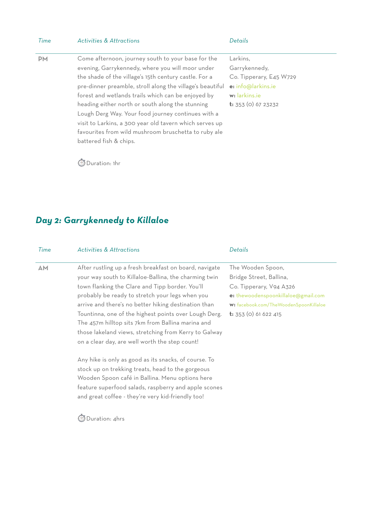| Activities & Attractions<br><i>I</i> ime | Details |
|------------------------------------------|---------|
|------------------------------------------|---------|

evening, Garrykennedy, where you will moor under the shade of the village's 15th century castle. For a

forest and wetlands trails which can be enjoyed by heading either north or south along the stunning

visit to Larkins, a 300 year old tavern which serves up favourites from wild mushroom bruschetta to ruby ale

**PM** Come afternoon, journey south to your base for the pre-dinner preamble, stroll along the village's beautiful Lough Derg Way. Your food journey continues with a Larkins, Garrykennedy, Co. Tipperary, E45 W729 **e:** [info@larkins.ie](mailto:info@larkins.ie) **w:** [larkins.ie](http://larkins.ie)  **t:** 353 (0) 67 23232

⏱ Duration: 1hr

battered fish & chips.

## *Day 2: Garrykennedy to Killaloe*

| Time | <b>Activities &amp; Attractions</b>                                                                                                                                                                                                                                                                                                                                                                                                                                                                    | Details                                                                                                                                                                                  |
|------|--------------------------------------------------------------------------------------------------------------------------------------------------------------------------------------------------------------------------------------------------------------------------------------------------------------------------------------------------------------------------------------------------------------------------------------------------------------------------------------------------------|------------------------------------------------------------------------------------------------------------------------------------------------------------------------------------------|
| AM   | After rustling up a fresh breakfast on board, navigate<br>your way south to Killaloe-Ballina, the charming twin<br>town flanking the Clare and Tipp border. You'll<br>probably be ready to stretch your legs when you<br>arrive and there's no better hiking destination than<br>Tountinna, one of the highest points over Lough Derg.<br>The 457m hilltop sits 7km from Ballina marina and<br>those lakeland views, stretching from Kerry to Galway<br>on a clear day, are well worth the step count! | The Wooden Spoon,<br>Bridge Street, Ballina,<br>Co. Tipperary, V94 A326<br>e: thewoodenspoonkillaloe@gmail.com<br>w: facebook.com/TheWoodenSpoonKillaloe<br><b>t:</b> 353 (0) 61 622 415 |
|      | Any hike is only as good as its snacks, of course. To<br>stock up on trekking treats, head to the gorgeous<br>Wooden Spoon café in Ballina. Menu options here<br>feature superfood salads, raspberry and apple scones<br>and great coffee - they're very kid-friendly too!<br>)uration: 4hrs                                                                                                                                                                                                           |                                                                                                                                                                                          |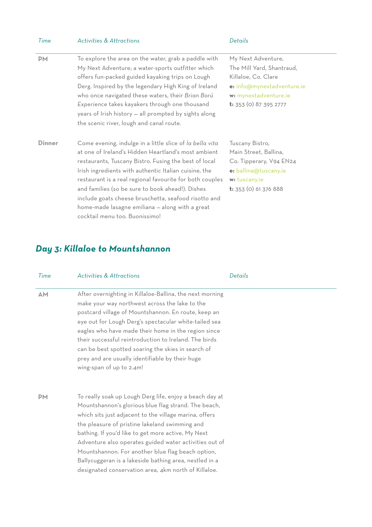| Time          | <b>Activities &amp; Attractions</b>                                                                                                                                                                                                                                                                                                                                                                                                                                                            | Details                                                                                                                                                 |
|---------------|------------------------------------------------------------------------------------------------------------------------------------------------------------------------------------------------------------------------------------------------------------------------------------------------------------------------------------------------------------------------------------------------------------------------------------------------------------------------------------------------|---------------------------------------------------------------------------------------------------------------------------------------------------------|
| <b>PM</b>     | To explore the area on the water, grab a paddle with<br>My Next Adventure; a water-sports outfitter which<br>offers fun-packed guided kayaking trips on Lough<br>Derg. Inspired by the legendary High King of Ireland<br>who once navigated these waters, their Brian Ború<br>Experience takes kayakers through one thousand<br>years of Irish history - all prompted by sights along<br>the scenic river, lough and canal route.                                                              | My Next Adventure,<br>The Mill Yard, Shantraud,<br>Killaloe, Co. Clare<br>e: info@mynextadventure.ie<br>w: mynextadventure.ie<br>t: 353 (0) 87 395 2777 |
| <b>Dinner</b> | Come evening, indulge in a little slice of la bella vita<br>at one of Ireland's Hidden Heartland's most ambient<br>restaurants, Tuscany Bistro. Fusing the best of local<br>Irish ingredients with authentic Italian cuisine, the<br>restaurant is a real regional favourite for both couples<br>and families (so be sure to book ahead!). Dishes<br>include goats cheese bruschetta, seafood risotto and<br>home-made lasagne emiliana - along with a great<br>cocktail menu too. Buonissimo! | Tuscany Bistro,<br>Main Street, Ballina,<br>Co. Tipperary, V94 EN24<br>e: ballina@tuscany.ie<br>w: tuscany.ie<br><b>t:</b> 353 (0) 61 376 888           |

# *Day 3: Killaloe to Mountshannon*

| Time      | <b>Activities &amp; Attractions</b>                                                                                                                                                                                                                                                                                                                                                                                                                                                                                | Details |
|-----------|--------------------------------------------------------------------------------------------------------------------------------------------------------------------------------------------------------------------------------------------------------------------------------------------------------------------------------------------------------------------------------------------------------------------------------------------------------------------------------------------------------------------|---------|
| AM        | After overnighting in Killaloe-Ballina, the next morning<br>make your way northwest across the lake to the<br>postcard village of Mountshannon. En route, keep an<br>eye out for Lough Derg's spectacular white-tailed sea<br>eagles who have made their home in the region since<br>their successful reintroduction to Ireland. The birds<br>can be best spotted soaring the skies in search of<br>prey and are usually identifiable by their huge<br>wing-span of up to 2.4m!                                    |         |
| <b>PM</b> | To really soak up Lough Derg life, enjoy a beach day at<br>Mountshannon's glorious blue flag strand. The beach,<br>which sits just adjacent to the village marina, offers<br>the pleasure of pristine lakeland swimming and<br>bathing. If you'd like to get more active, My Next<br>Adventure also operates guided water activities out of<br>Mountshannon. For another blue flag beach option,<br>Ballycuggeran is a lakeside bathing area, nestled in a<br>designated conservation area, 4km north of Killaloe. |         |